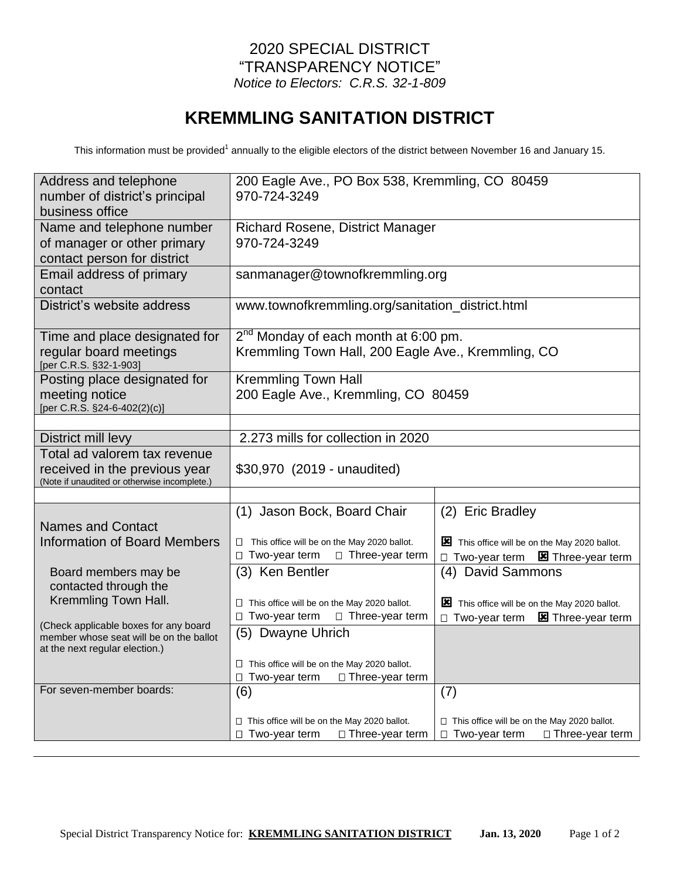## 2020 SPECIAL DISTRICT "TRANSPARENCY NOTICE" *Notice to Electors: C.R.S. 32-1-809*

## **KREMMLING SANITATION DISTRICT**

This information must be provided<sup>1</sup> annually to the eligible electors of the district between November 16 and January 15.

| Address and telephone<br>number of district's principal<br>business office                                         | 200 Eagle Ave., PO Box 538, Kremmling, CO 80459<br>970-724-3249                                                                |                                                                                                             |  |  |
|--------------------------------------------------------------------------------------------------------------------|--------------------------------------------------------------------------------------------------------------------------------|-------------------------------------------------------------------------------------------------------------|--|--|
| Name and telephone number<br>of manager or other primary<br>contact person for district                            | <b>Richard Rosene, District Manager</b><br>970-724-3249                                                                        |                                                                                                             |  |  |
| Email address of primary<br>contact                                                                                | sanmanager@townofkremmling.org                                                                                                 |                                                                                                             |  |  |
| District's website address                                                                                         | www.townofkremmling.org/sanitation_district.html                                                                               |                                                                                                             |  |  |
| Time and place designated for<br>regular board meetings<br>[per C.R.S. §32-1-903]                                  | 2 <sup>nd</sup> Monday of each month at 6:00 pm.<br>Kremmling Town Hall, 200 Eagle Ave., Kremmling, CO                         |                                                                                                             |  |  |
| Posting place designated for<br>meeting notice<br>[per C.R.S. §24-6-402(2)(c)]                                     | <b>Kremmling Town Hall</b><br>200 Eagle Ave., Kremmling, CO 80459                                                              |                                                                                                             |  |  |
|                                                                                                                    |                                                                                                                                |                                                                                                             |  |  |
| District mill levy                                                                                                 | 2.273 mills for collection in 2020                                                                                             |                                                                                                             |  |  |
| Total ad valorem tax revenue<br>received in the previous year<br>(Note if unaudited or otherwise incomplete.)      | \$30,970 (2019 - unaudited)                                                                                                    |                                                                                                             |  |  |
|                                                                                                                    |                                                                                                                                |                                                                                                             |  |  |
| <b>Names and Contact</b><br><b>Information of Board Members</b>                                                    | (1) Jason Bock, Board Chair<br>$\Box$ This office will be on the May 2020 ballot.<br>□ Two-year term<br>$\Box$ Three-year term | (2) Eric Bradley<br>This office will be on the May 2020 ballot.<br>□ Two-year term <b>E</b> Three-year term |  |  |
| Board members may be<br>contacted through the<br>Kremmling Town Hall.                                              | (3) Ken Bentler                                                                                                                | (4) David Sammons                                                                                           |  |  |
|                                                                                                                    | $\Box$ This office will be on the May 2020 ballot.<br>□ Two-year term<br>□ Three-year term                                     | This office will be on the May 2020 ballot.<br>$\Box$ Two-year term<br><b>E</b> Three-year term             |  |  |
| (Check applicable boxes for any board<br>member whose seat will be on the ballot<br>at the next regular election.) | (5) Dwayne Uhrich                                                                                                              |                                                                                                             |  |  |
|                                                                                                                    | $\Box$ This office will be on the May 2020 ballot.<br>$\Box$ Two-year term<br>□ Three-year term                                |                                                                                                             |  |  |
| For seven-member boards:                                                                                           | (6)                                                                                                                            | (7)                                                                                                         |  |  |
|                                                                                                                    | □ This office will be on the May 2020 ballot.<br>$\Box$ Two-year term<br>□ Three-year term                                     | $\Box$ This office will be on the May 2020 ballot.<br>$\Box$ Two-year term<br>$\Box$ Three-year term        |  |  |